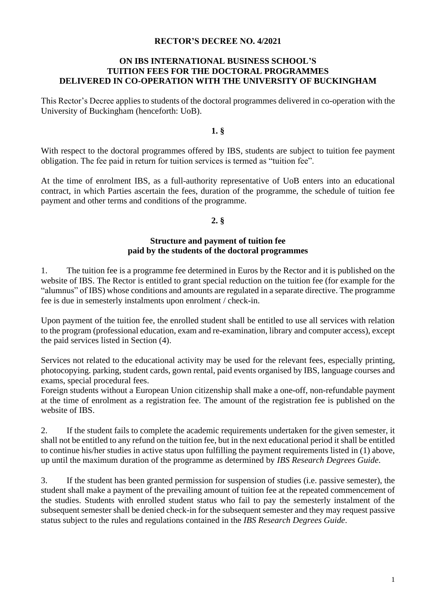#### **RECTOR'S DECREE NO. 4/2021**

### **ON IBS INTERNATIONAL BUSINESS SCHOOL'S TUITION FEES FOR THE DOCTORAL PROGRAMMES DELIVERED IN CO-OPERATION WITH THE UNIVERSITY OF BUCKINGHAM**

This Rector's Decree applies to students of the doctoral programmes delivered in co-operation with the University of Buckingham (henceforth: UoB).

**1. §**

With respect to the doctoral programmes offered by IBS, students are subject to tuition fee payment obligation. The fee paid in return for tuition services is termed as "tuition fee".

At the time of enrolment IBS, as a full-authority representative of UoB enters into an educational contract, in which Parties ascertain the fees, duration of the programme, the schedule of tuition fee payment and other terms and conditions of the programme.

### **2. §**

### **Structure and payment of tuition fee paid by the students of the doctoral programmes**

1. The tuition fee is a programme fee determined in Euros by the Rector and it is published on the website of IBS. The Rector is entitled to grant special reduction on the tuition fee (for example for the "alumnus" of IBS) whose conditions and amounts are regulated in a separate directive. The programme fee is due in semesterly instalments upon enrolment / check-in.

Upon payment of the tuition fee, the enrolled student shall be entitled to use all services with relation to the program (professional education, exam and re-examination, library and computer access), except the paid services listed in Section (4).

Services not related to the educational activity may be used for the relevant fees, especially printing, photocopying. parking, student cards, gown rental, paid events organised by IBS, language courses and exams, special procedural fees.

Foreign students without a European Union citizenship shall make a one-off, non-refundable payment at the time of enrolment as a registration fee. The amount of the registration fee is published on the website of IBS.

2. If the student fails to complete the academic requirements undertaken for the given semester, it shall not be entitled to any refund on the tuition fee, but in the next educational period it shall be entitled to continue his/her studies in active status upon fulfilling the payment requirements listed in (1) above, up until the maximum duration of the programme as determined by *IBS Research Degrees Guide*.

3. If the student has been granted permission for suspension of studies (i.e. passive semester), the student shall make a payment of the prevailing amount of tuition fee at the repeated commencement of the studies. Students with enrolled student status who fail to pay the semesterly instalment of the subsequent semester shall be denied check-in for the subsequent semester and they may request passive status subject to the rules and regulations contained in the *IBS Research Degrees Guide*.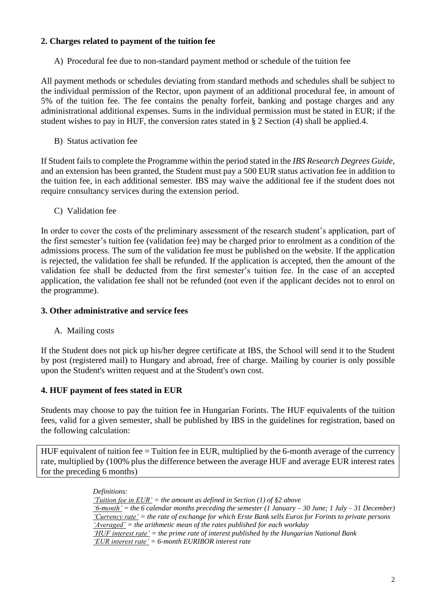## **2. Charges related to payment of the tuition fee**

A) Procedural fee due to non-standard payment method or schedule of the tuition fee

All payment methods or schedules deviating from standard methods and schedules shall be subject to the individual permission of the Rector, upon payment of an additional procedural fee, in amount of 5% of the tuition fee. The fee contains the penalty forfeit, banking and postage charges and any administrational additional expenses. Sums in the individual permission must be stated in EUR; if the student wishes to pay in HUF, the conversion rates stated in § 2 Section (4) shall be applied.4.

B) Status activation fee

If Student fails to complete the Programme within the period stated in the *IBS Research Degrees Guide*, and an extension has been granted, the Student must pay a 500 EUR status activation fee in addition to the tuition fee, in each additional semester. IBS may waive the additional fee if the student does not require consultancy services during the extension period.

C) Validation fee

In order to cover the costs of the preliminary assessment of the research student's application, part of the first semester's tuition fee (validation fee) may be charged prior to enrolment as a condition of the admissions process. The sum of the validation fee must be published on the website. If the application is rejected, the validation fee shall be refunded. If the application is accepted, then the amount of the validation fee shall be deducted from the first semester's tuition fee. In the case of an accepted application, the validation fee shall not be refunded (not even if the applicant decides not to enrol on the programme).

### **3. Other administrative and service fees**

A. Mailing costs

If the Student does not pick up his/her degree certificate at IBS, the School will send it to the Student by post (registered mail) to Hungary and abroad, free of charge. Mailing by courier is only possible upon the Student's written request and at the Student's own cost.

# **4. HUF payment of fees stated in EUR**

Students may choose to pay the tuition fee in Hungarian Forints. The HUF equivalents of the tuition fees, valid for a given semester, shall be published by IBS in the guidelines for registration, based on the following calculation:

HUF equivalent of tuition fee = Tuition fee in EUR, multiplied by the 6-month average of the currency rate, multiplied by (100% plus the difference between the average HUF and average EUR interest rates for the preceding 6 months)

> *Definitions: 'Tuition fee in EUR' = the amount as defined in Section (1) of §2 above '6-month' = the 6 calendar months preceding the semester (1 January – 30 June; 1 July – 31 December) 'Currency rate' = the rate of exchange for which Erste Bank sells Euros for Forints to private persons 'Averaged' = the arithmetic mean of the rates published for each workday 'HUF interest rate' = the prime rate of interest published by the Hungarian National Bank 'EUR interest rate' = 6-month EURIBOR interest rate*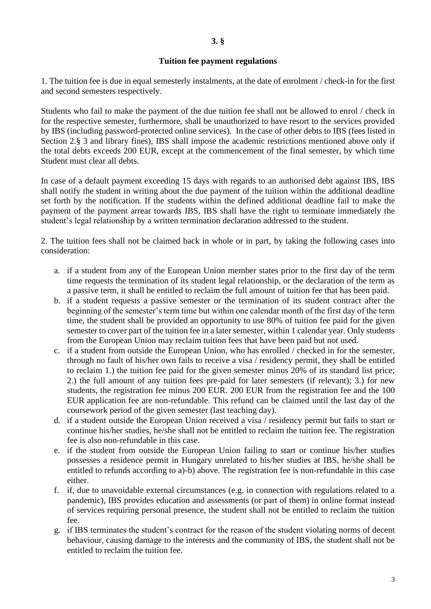### **Tuition fee payment regulations**

1. The tuition fee is due in equal semesterly instalments, at the date of enrolment / check-in for the first and second semesters respectively.

Students who fail to make the payment of the due tuition fee shall not be allowed to enrol / check in for the respective semester, furthermore, shall be unauthorized to have resort to the services provided by IBS (including password-protected online services). In the case of other debts to IBS (fees listed in Section 2.§ 3 and library fines), IBS shall impose the academic restrictions mentioned above only if the total debts exceeds 200 EUR, except at the commencement of the final semester, by which time Student must clear all debts.

In case of a default payment exceeding 15 days with regards to an authorised debt against IBS, IBS shall notify the student in writing about the due payment of the tuition within the additional deadline set forth by the notification. If the students within the defined additional deadline fail to make the payment of the payment arrear towards IBS, IBS shall have the right to terminate immediately the student's legal relationship by a written termination declaration addressed to the student.

2. The tuition fees shall not be claimed back in whole or in part, by taking the following cases into consideration:

- a. if a student from any of the European Union member states prior to the first day of the term time requests the termination of its student legal relationship, or the declaration of the term as a passive term, it shall be entitled to reclaim the full amount of tuition fee that has been paid.
- b. if a student requests a passive semester or the termination of its student contract after the beginning of the semester's term time but within one calendar month of the first day of the term time, the student shall be provided an opportunity to use 80% of tuition fee paid for the given semester to cover part of the tuition fee in a later semester, within 1 calendar year. Only students from the European Union may reclaim tuition fees that have been paid but not used.
- c. if a student from outside the European Union, who has enrolled / checked in for the semester, through no fault of his/her own fails to receive a visa / residency permit, they shall be entitled to reclaim 1.) the tuition fee paid for the given semester minus 20% of its standard list price; 2.) the full amount of any tuition fees pre-paid for later semesters (if relevant); 3.) for new students, the registration fee minus 200 EUR. 200 EUR from the registration fee and the 100 EUR application fee are non-refundable. This refund can be claimed until the last day of the coursework period of the given semester (last teaching day).
- d. if a student outside the European Union received a visa / residency permit but fails to start or continue his/her studies, he/she shall not be entitled to reclaim the tuition fee. The registration fee is also non-refundable in this case.
- e. if the student from outside the European Union failing to start or continue his/her studies possesses a residence permit in Hungary unrelated to his/her studies at IBS, he/she shall be entitled to refunds according to a)-b) above. The registration fee is non-refundable in this case either.
- f. if, due to unavoidable external circumstances (e.g. in connection with regulations related to a pandemic), IBS provides education and assessments (or part of them) in online format instead of services requiring personal presence, the student shall not be entitled to reclaim the tuition fee.
- g. if IBS terminates the student's contract for the reason of the student violating norms of decent behaviour, causing damage to the interests and the community of IBS, the student shall not be entitled to reclaim the tuition fee.